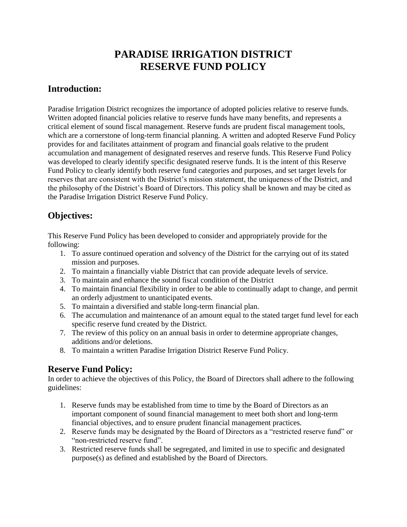## **PARADISE IRRIGATION DISTRICT RESERVE FUND POLICY**

#### **Introduction:**

Paradise Irrigation District recognizes the importance of adopted policies relative to reserve funds. Written adopted financial policies relative to reserve funds have many benefits, and represents a critical element of sound fiscal management. Reserve funds are prudent fiscal management tools, which are a cornerstone of long-term financial planning. A written and adopted Reserve Fund Policy provides for and facilitates attainment of program and financial goals relative to the prudent accumulation and management of designated reserves and reserve funds. This Reserve Fund Policy was developed to clearly identify specific designated reserve funds. It is the intent of this Reserve Fund Policy to clearly identify both reserve fund categories and purposes, and set target levels for reserves that are consistent with the District's mission statement, the uniqueness of the District, and the philosophy of the District's Board of Directors. This policy shall be known and may be cited as the Paradise Irrigation District Reserve Fund Policy.

### **Objectives:**

This Reserve Fund Policy has been developed to consider and appropriately provide for the following:

- 1. To assure continued operation and solvency of the District for the carrying out of its stated mission and purposes.
- 2. To maintain a financially viable District that can provide adequate levels of service.
- 3. To maintain and enhance the sound fiscal condition of the District
- 4. To maintain financial flexibility in order to be able to continually adapt to change, and permit an orderly adjustment to unanticipated events.
- 5. To maintain a diversified and stable long-term financial plan.
- 6. The accumulation and maintenance of an amount equal to the stated target fund level for each specific reserve fund created by the District.
- 7. The review of this policy on an annual basis in order to determine appropriate changes, additions and/or deletions.
- 8. To maintain a written Paradise Irrigation District Reserve Fund Policy.

## **Reserve Fund Policy:**

In order to achieve the objectives of this Policy, the Board of Directors shall adhere to the following guidelines:

- 1. Reserve funds may be established from time to time by the Board of Directors as an important component of sound financial management to meet both short and long-term financial objectives, and to ensure prudent financial management practices.
- 2. Reserve funds may be designated by the Board of Directors as a "restricted reserve fund" or "non-restricted reserve fund".
- 3. Restricted reserve funds shall be segregated, and limited in use to specific and designated purpose(s) as defined and established by the Board of Directors.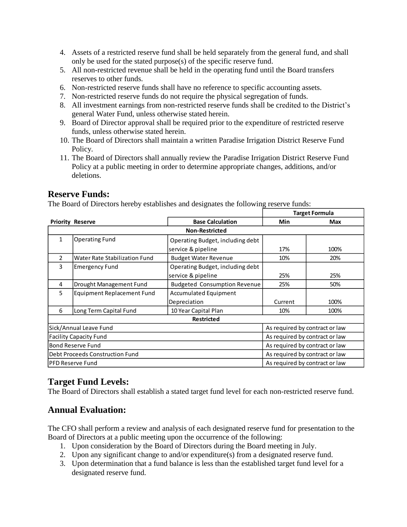- 4. Assets of a restricted reserve fund shall be held separately from the general fund, and shall only be used for the stated purpose(s) of the specific reserve fund.
- 5. All non-restricted revenue shall be held in the operating fund until the Board transfers reserves to other funds.
- 6. Non-restricted reserve funds shall have no reference to specific accounting assets.
- 7. Non-restricted reserve funds do not require the physical segregation of funds.
- 8. All investment earnings from non-restricted reserve funds shall be credited to the District's general Water Fund, unless otherwise stated herein.
- 9. Board of Director approval shall be required prior to the expenditure of restricted reserve funds, unless otherwise stated herein.
- 10. The Board of Directors shall maintain a written Paradise Irrigation District Reserve Fund Policy.
- 11. The Board of Directors shall annually review the Paradise Irrigation District Reserve Fund Policy at a public meeting in order to determine appropriate changes, additions, and/or deletions.

#### **Reserve Funds:**

The Board of Directors hereby establishes and designates the following reserve funds:

|                                 |                                   |                                     | Target Formula                 |            |
|---------------------------------|-----------------------------------|-------------------------------------|--------------------------------|------------|
|                                 | <b>Priority Reserve</b>           | <b>Base Calculation</b>             | <b>Min</b>                     | <b>Max</b> |
| <b>Non-Restricted</b>           |                                   |                                     |                                |            |
| $\mathbf{1}$                    | <b>Operating Fund</b>             | Operating Budget, including debt    |                                |            |
|                                 |                                   | service & pipeline                  | 17%                            | 100%       |
| $\mathcal{P}$                   | Water Rate Stabilization Fund     | <b>Budget Water Revenue</b>         | 10%                            | 20%        |
| 3                               | <b>Emergency Fund</b>             | Operating Budget, including debt    |                                |            |
|                                 |                                   | service & pipeline                  | 25%                            | 25%        |
| 4                               | Drought Management Fund           | <b>Budgeted Consumption Revenue</b> | 25%                            | 50%        |
| 5                               | <b>Equipment Replacement Fund</b> | Accumulated Equipment               |                                |            |
|                                 |                                   | Depreciation                        | Current                        | 100%       |
| 6                               | Long Term Capital Fund            | 10 Year Capital Plan                | 10%                            | 100%       |
| <b>Restricted</b>               |                                   |                                     |                                |            |
| Sick/Annual Leave Fund          |                                   |                                     | As required by contract or law |            |
| <b>Facility Capacity Fund</b>   |                                   |                                     | As required by contract or law |            |
| <b>Bond Reserve Fund</b>        |                                   |                                     | As required by contract or law |            |
| Debt Proceeds Construction Fund |                                   |                                     | As required by contract or law |            |
| <b>PFD Reserve Fund</b>         |                                   |                                     | As required by contract or law |            |

### **Target Fund Levels:**

The Board of Directors shall establish a stated target fund level for each non-restricted reserve fund.

### **Annual Evaluation:**

The CFO shall perform a review and analysis of each designated reserve fund for presentation to the Board of Directors at a public meeting upon the occurrence of the following:

- 1. Upon consideration by the Board of Directors during the Board meeting in July.
- 2. Upon any significant change to and/or expenditure(s) from a designated reserve fund.
- 3. Upon determination that a fund balance is less than the established target fund level for a designated reserve fund.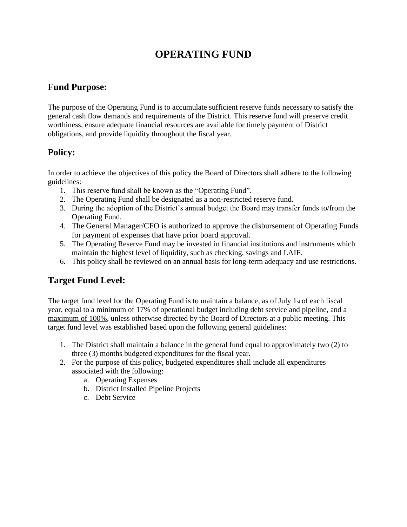# **OPERATING FUND**

### **Fund Purpose:**

The purpose of the Operating Fund is to accumulate sufficient reserve funds necessary to satisfy the general cash flow demands and requirements of the District. This reserve fund will preserve credit worthiness, ensure adequate financial resources are available for timely payment of District obligations, and provide liquidity throughout the fiscal year.

## **Policy:**

In order to achieve the objectives of this policy the Board of Directors shall adhere to the following guidelines:

- 1. This reserve fund shall be known as the "Operating Fund".
- 2. The Operating Fund shall be designated as a non-restricted reserve fund.
- 3. During the adoption of the District's annual budget the Board may transfer funds to/from the Operating Fund.
- 4. The General Manager/CFO is authorized to approve the disbursement of Operating Funds for payment of expenses that have prior board approval.
- 5. The Operating Reserve Fund may be invested in financial institutions and instruments which maintain the highest level of liquidity, such as checking, savings and LAIF.
- 6. This policy shall be reviewed on an annual basis for long-term adequacy and use restrictions.

## **Target Fund Level:**

The target fund level for the Operating Fund is to maintain a balance, as of July 1st of each fiscal year, equal to a minimum of 17% of operational budget including debt service and pipeline, and a maximum of 100%, unless otherwise directed by the Board of Directors at a public meeting. This target fund level was established based upon the following general guidelines:

- 1. The District shall maintain a balance in the general fund equal to approximately two (2) to three (3) months budgeted expenditures for the fiscal year.
- 2. For the purpose of this policy, budgeted expenditures shall include all expenditures associated with the following:
	- a. Operating Expenses
	- b. District Installed Pipeline Projects
	- c. Debt Service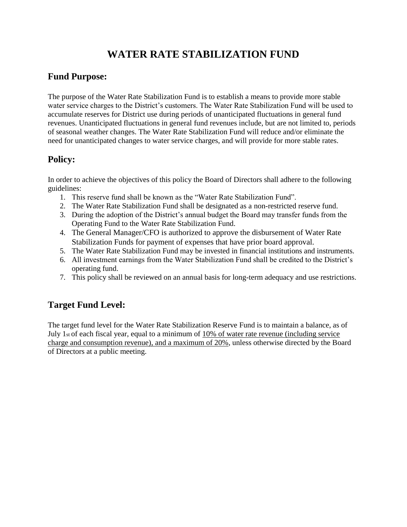# **WATER RATE STABILIZATION FUND**

## **Fund Purpose:**

The purpose of the Water Rate Stabilization Fund is to establish a means to provide more stable water service charges to the District's customers. The Water Rate Stabilization Fund will be used to accumulate reserves for District use during periods of unanticipated fluctuations in general fund revenues. Unanticipated fluctuations in general fund revenues include, but are not limited to, periods of seasonal weather changes. The Water Rate Stabilization Fund will reduce and/or eliminate the need for unanticipated changes to water service charges, and will provide for more stable rates.

## **Policy:**

In order to achieve the objectives of this policy the Board of Directors shall adhere to the following guidelines:

- 1. This reserve fund shall be known as the "Water Rate Stabilization Fund".
- 2. The Water Rate Stabilization Fund shall be designated as a non-restricted reserve fund.
- 3. During the adoption of the District's annual budget the Board may transfer funds from the Operating Fund to the Water Rate Stabilization Fund.
- 4. The General Manager/CFO is authorized to approve the disbursement of Water Rate Stabilization Funds for payment of expenses that have prior board approval.
- 5. The Water Rate Stabilization Fund may be invested in financial institutions and instruments.
- 6. All investment earnings from the Water Stabilization Fund shall be credited to the District's operating fund.
- 7. This policy shall be reviewed on an annual basis for long-term adequacy and use restrictions.

## **Target Fund Level:**

The target fund level for the Water Rate Stabilization Reserve Fund is to maintain a balance, as of July 1st of each fiscal year, equal to a minimum of 10% of water rate revenue (including service charge and consumption revenue), and a maximum of 20%, unless otherwise directed by the Board of Directors at a public meeting.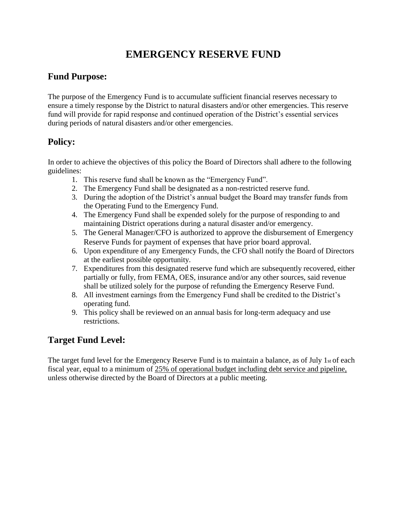# **EMERGENCY RESERVE FUND**

## **Fund Purpose:**

The purpose of the Emergency Fund is to accumulate sufficient financial reserves necessary to ensure a timely response by the District to natural disasters and/or other emergencies. This reserve fund will provide for rapid response and continued operation of the District's essential services during periods of natural disasters and/or other emergencies.

## **Policy:**

In order to achieve the objectives of this policy the Board of Directors shall adhere to the following guidelines:

- 1. This reserve fund shall be known as the "Emergency Fund".
- 2. The Emergency Fund shall be designated as a non-restricted reserve fund.
- 3. During the adoption of the District's annual budget the Board may transfer funds from the Operating Fund to the Emergency Fund.
- 4. The Emergency Fund shall be expended solely for the purpose of responding to and maintaining District operations during a natural disaster and/or emergency.
- 5. The General Manager/CFO is authorized to approve the disbursement of Emergency Reserve Funds for payment of expenses that have prior board approval.
- 6. Upon expenditure of any Emergency Funds, the CFO shall notify the Board of Directors at the earliest possible opportunity.
- 7. Expenditures from this designated reserve fund which are subsequently recovered, either partially or fully, from FEMA, OES, insurance and/or any other sources, said revenue shall be utilized solely for the purpose of refunding the Emergency Reserve Fund.
- 8. All investment earnings from the Emergency Fund shall be credited to the District's operating fund.
- 9. This policy shall be reviewed on an annual basis for long-term adequacy and use restrictions.

## **Target Fund Level:**

The target fund level for the Emergency Reserve Fund is to maintain a balance, as of July 1st of each fiscal year, equal to a minimum of 25% of operational budget including debt service and pipeline, unless otherwise directed by the Board of Directors at a public meeting.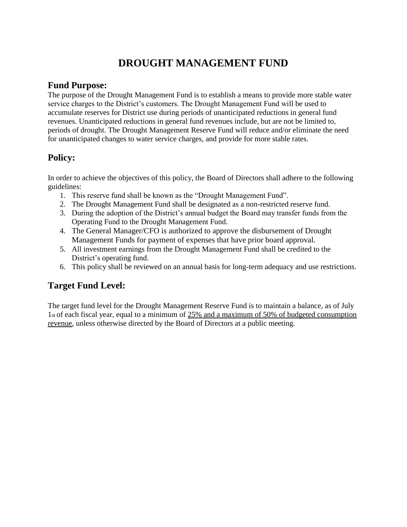# **DROUGHT MANAGEMENT FUND**

### **Fund Purpose:**

The purpose of the Drought Management Fund is to establish a means to provide more stable water service charges to the District's customers. The Drought Management Fund will be used to accumulate reserves for District use during periods of unanticipated reductions in general fund revenues. Unanticipated reductions in general fund revenues include, but are not be limited to, periods of drought. The Drought Management Reserve Fund will reduce and/or eliminate the need for unanticipated changes to water service charges, and provide for more stable rates.

### **Policy:**

In order to achieve the objectives of this policy, the Board of Directors shall adhere to the following guidelines:

- 1. This reserve fund shall be known as the "Drought Management Fund".
- 2. The Drought Management Fund shall be designated as a non-restricted reserve fund.
- 3. During the adoption of the District's annual budget the Board may transfer funds from the Operating Fund to the Drought Management Fund.
- 4. The General Manager/CFO is authorized to approve the disbursement of Drought Management Funds for payment of expenses that have prior board approval.
- 5. All investment earnings from the Drought Management Fund shall be credited to the District's operating fund.
- 6. This policy shall be reviewed on an annual basis for long-term adequacy and use restrictions.

## **Target Fund Level:**

The target fund level for the Drought Management Reserve Fund is to maintain a balance, as of July 1st of each fiscal year, equal to a minimum of 25% and a maximum of 50% of budgeted consumption revenue, unless otherwise directed by the Board of Directors at a public meeting.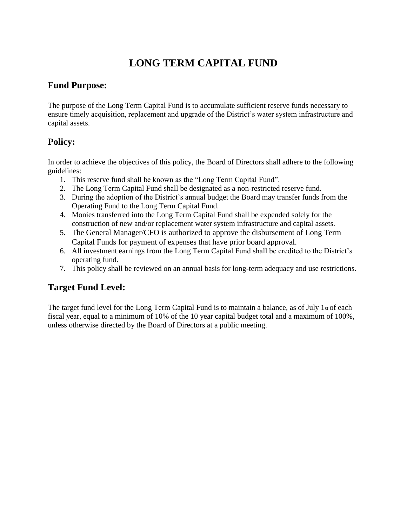# **LONG TERM CAPITAL FUND**

### **Fund Purpose:**

The purpose of the Long Term Capital Fund is to accumulate sufficient reserve funds necessary to ensure timely acquisition, replacement and upgrade of the District's water system infrastructure and capital assets.

## **Policy:**

In order to achieve the objectives of this policy, the Board of Directors shall adhere to the following guidelines:

- 1. This reserve fund shall be known as the "Long Term Capital Fund".
- 2. The Long Term Capital Fund shall be designated as a non-restricted reserve fund.
- 3. During the adoption of the District's annual budget the Board may transfer funds from the Operating Fund to the Long Term Capital Fund.
- 4. Monies transferred into the Long Term Capital Fund shall be expended solely for the construction of new and/or replacement water system infrastructure and capital assets.
- 5. The General Manager/CFO is authorized to approve the disbursement of Long Term Capital Funds for payment of expenses that have prior board approval.
- 6. All investment earnings from the Long Term Capital Fund shall be credited to the District's operating fund.
- 7. This policy shall be reviewed on an annual basis for long-term adequacy and use restrictions.

### **Target Fund Level:**

The target fund level for the Long Term Capital Fund is to maintain a balance, as of July 1st of each fiscal year, equal to a minimum of 10% of the 10 year capital budget total and a maximum of 100%, unless otherwise directed by the Board of Directors at a public meeting.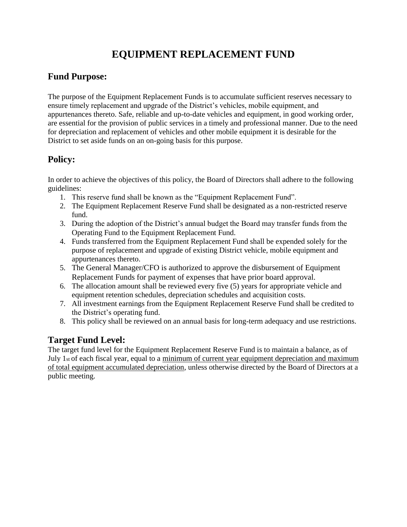# **EQUIPMENT REPLACEMENT FUND**

## **Fund Purpose:**

The purpose of the Equipment Replacement Funds is to accumulate sufficient reserves necessary to ensure timely replacement and upgrade of the District's vehicles, mobile equipment, and appurtenances thereto. Safe, reliable and up-to-date vehicles and equipment, in good working order, are essential for the provision of public services in a timely and professional manner. Due to the need for depreciation and replacement of vehicles and other mobile equipment it is desirable for the District to set aside funds on an on-going basis for this purpose.

## **Policy:**

In order to achieve the objectives of this policy, the Board of Directors shall adhere to the following guidelines:

- 1. This reserve fund shall be known as the "Equipment Replacement Fund".
- 2. The Equipment Replacement Reserve Fund shall be designated as a non-restricted reserve fund.
- 3. During the adoption of the District's annual budget the Board may transfer funds from the Operating Fund to the Equipment Replacement Fund.
- 4. Funds transferred from the Equipment Replacement Fund shall be expended solely for the purpose of replacement and upgrade of existing District vehicle, mobile equipment and appurtenances thereto.
- 5. The General Manager/CFO is authorized to approve the disbursement of Equipment Replacement Funds for payment of expenses that have prior board approval.
- 6. The allocation amount shall be reviewed every five (5) years for appropriate vehicle and equipment retention schedules, depreciation schedules and acquisition costs.
- 7. All investment earnings from the Equipment Replacement Reserve Fund shall be credited to the District's operating fund.
- 8. This policy shall be reviewed on an annual basis for long-term adequacy and use restrictions.

## **Target Fund Level:**

The target fund level for the Equipment Replacement Reserve Fund is to maintain a balance, as of July 1st of each fiscal year, equal to a minimum of current year equipment depreciation and maximum of total equipment accumulated depreciation, unless otherwise directed by the Board of Directors at a public meeting.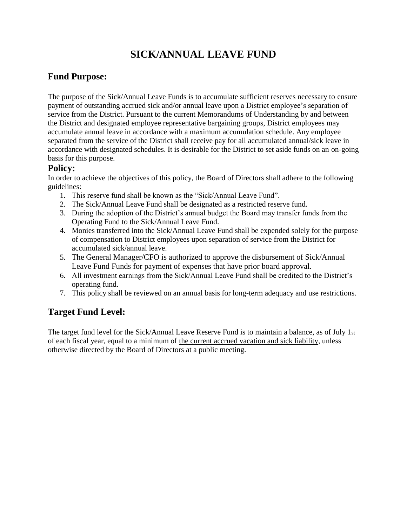# **SICK/ANNUAL LEAVE FUND**

## **Fund Purpose:**

The purpose of the Sick/Annual Leave Funds is to accumulate sufficient reserves necessary to ensure payment of outstanding accrued sick and/or annual leave upon a District employee's separation of service from the District. Pursuant to the current Memorandums of Understanding by and between the District and designated employee representative bargaining groups, District employees may accumulate annual leave in accordance with a maximum accumulation schedule. Any employee separated from the service of the District shall receive pay for all accumulated annual/sick leave in accordance with designated schedules. It is desirable for the District to set aside funds on an on-going basis for this purpose.

### **Policy:**

In order to achieve the objectives of this policy, the Board of Directors shall adhere to the following guidelines:

- 1. This reserve fund shall be known as the "Sick/Annual Leave Fund".
- 2. The Sick/Annual Leave Fund shall be designated as a restricted reserve fund.
- 3. During the adoption of the District's annual budget the Board may transfer funds from the Operating Fund to the Sick/Annual Leave Fund.
- 4. Monies transferred into the Sick/Annual Leave Fund shall be expended solely for the purpose of compensation to District employees upon separation of service from the District for accumulated sick/annual leave.
- 5. The General Manager/CFO is authorized to approve the disbursement of Sick/Annual Leave Fund Funds for payment of expenses that have prior board approval.
- 6. All investment earnings from the Sick/Annual Leave Fund shall be credited to the District's operating fund.
- 7. This policy shall be reviewed on an annual basis for long-term adequacy and use restrictions.

## **Target Fund Level:**

The target fund level for the Sick/Annual Leave Reserve Fund is to maintain a balance, as of July 1st of each fiscal year, equal to a minimum of the current accrued vacation and sick liability, unless otherwise directed by the Board of Directors at a public meeting.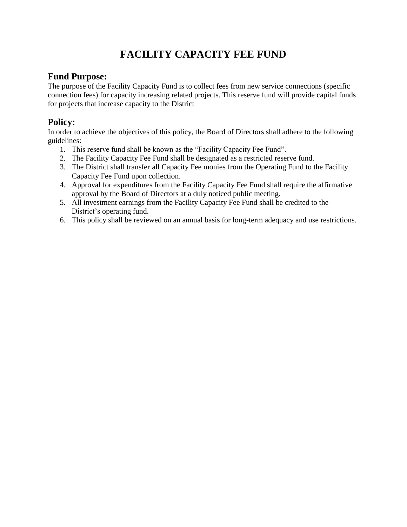# **FACILITY CAPACITY FEE FUND**

### **Fund Purpose:**

The purpose of the Facility Capacity Fund is to collect fees from new service connections (specific connection fees) for capacity increasing related projects. This reserve fund will provide capital funds for projects that increase capacity to the District

### **Policy:**

In order to achieve the objectives of this policy, the Board of Directors shall adhere to the following guidelines:

- 1. This reserve fund shall be known as the "Facility Capacity Fee Fund".
- 2. The Facility Capacity Fee Fund shall be designated as a restricted reserve fund.
- 3. The District shall transfer all Capacity Fee monies from the Operating Fund to the Facility Capacity Fee Fund upon collection.
- 4. Approval for expenditures from the Facility Capacity Fee Fund shall require the affirmative approval by the Board of Directors at a duly noticed public meeting.
- 5. All investment earnings from the Facility Capacity Fee Fund shall be credited to the District's operating fund.
- 6. This policy shall be reviewed on an annual basis for long-term adequacy and use restrictions.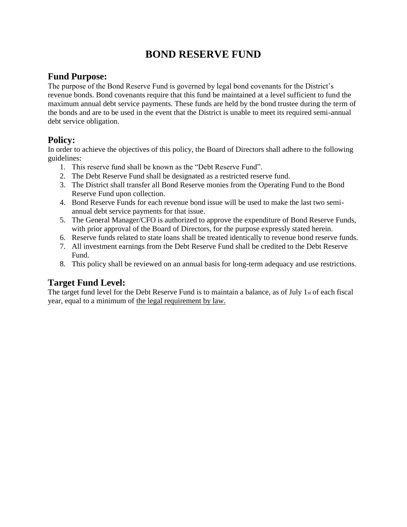## **BOND RESERVE FUND**

#### **Fund Purpose:**

The purpose of the Bond Reserve Fund is governed by legal bond covenants for the District's revenue bonds. Bond covenants require that this fund be maintained at a level sufficient to fund the maximum annual debt service payments. These funds are held by the bond trustee during the term of the bonds and are to be used in the event that the District is unable to meet its required semi-annual debt service obligation.

### **Policy:**

In order to achieve the objectives of this policy, the Board of Directors shall adhere to the following guidelines:

- 1. This reserve fund shall be known as the "Debt Reserve Fund".
- 2. The Debt Reserve Fund shall be designated as a restricted reserve fund.
- 3. The District shall transfer all Bond Reserve monies from the Operating Fund to the Bond Reserve Fund upon collection.
- 4. Bond Reserve Funds for each revenue bond issue will be used to make the last two semiannual debt service payments for that issue.
- 5. The General Manager/CFO is authorized to approve the expenditure of Bond Reserve Funds, with prior approval of the Board of Directors, for the purpose expressly stated herein.
- 6. Reserve funds related to state loans shall be treated identically to revenue bond reserve funds.
- 7. All investment earnings from the Debt Reserve Fund shall be credited to the Debt Reserve Fund.
- 8. This policy shall be reviewed on an annual basis for long-term adequacy and use restrictions.

## **Target Fund Level:**

The target fund level for the Debt Reserve Fund is to maintain a balance, as of July 1st of each fiscal year, equal to a minimum of the legal requirement by law.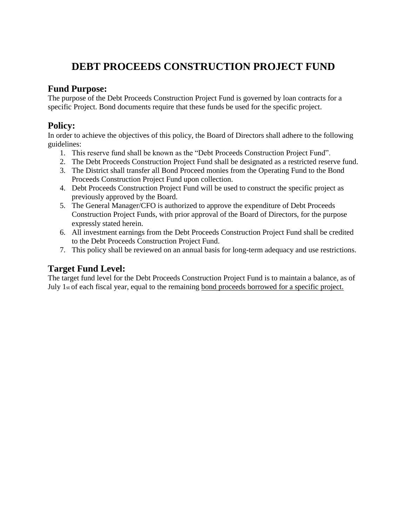# **DEBT PROCEEDS CONSTRUCTION PROJECT FUND**

#### **Fund Purpose:**

The purpose of the Debt Proceeds Construction Project Fund is governed by loan contracts for a specific Project. Bond documents require that these funds be used for the specific project.

### **Policy:**

In order to achieve the objectives of this policy, the Board of Directors shall adhere to the following guidelines:

- 1. This reserve fund shall be known as the "Debt Proceeds Construction Project Fund".
- 2. The Debt Proceeds Construction Project Fund shall be designated as a restricted reserve fund.
- 3. The District shall transfer all Bond Proceed monies from the Operating Fund to the Bond Proceeds Construction Project Fund upon collection.
- 4. Debt Proceeds Construction Project Fund will be used to construct the specific project as previously approved by the Board.
- 5. The General Manager/CFO is authorized to approve the expenditure of Debt Proceeds Construction Project Funds, with prior approval of the Board of Directors, for the purpose expressly stated herein.
- 6. All investment earnings from the Debt Proceeds Construction Project Fund shall be credited to the Debt Proceeds Construction Project Fund.
- 7. This policy shall be reviewed on an annual basis for long-term adequacy and use restrictions.

## **Target Fund Level:**

The target fund level for the Debt Proceeds Construction Project Fund is to maintain a balance, as of July 1st of each fiscal year, equal to the remaining bond proceeds borrowed for a specific project.